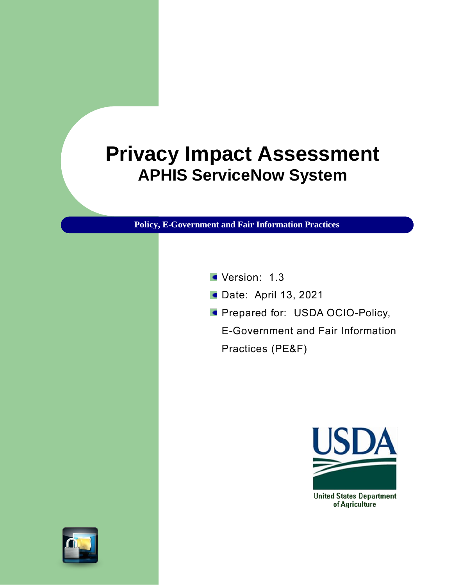## **Privacy Impact Assessment APHIS ServiceNow System**

**Policy, E-Government and Fair Information Practices**

- Version: 1.3
- **Date: April 13, 2021**
- **Prepared for: USDA OCIO-Policy,**

E-Government and Fair Information Practices (PE&F)



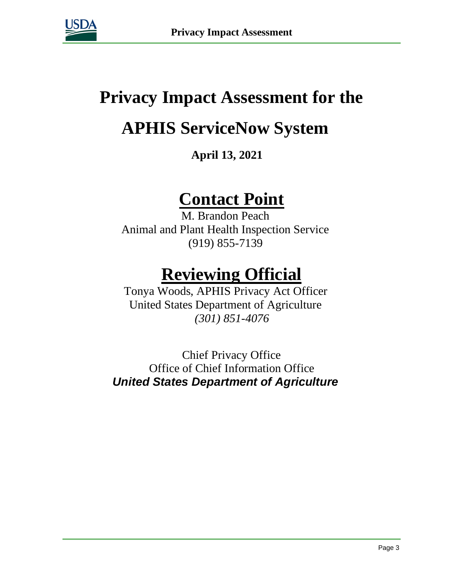

# **Privacy Impact Assessment for the APHIS ServiceNow System**

**April 13, 2021**

## **Contact Point**

M. Brandon Peach Animal and Plant Health Inspection Service (919) 855-7139

## **Reviewing Official**

Tonya Woods, APHIS Privacy Act Officer United States Department of Agriculture *(301) 851-4076*

Chief Privacy Office Office of Chief Information Office *United States Department of Agriculture*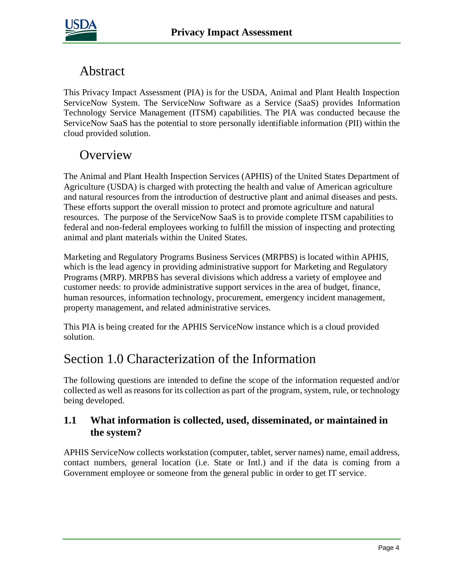

## Abstract

This Privacy Impact Assessment (PIA) is for the USDA, Animal and Plant Health Inspection ServiceNow System. The ServiceNow Software as a Service (SaaS) provides Information Technology Service Management (ITSM) capabilities. The PIA was conducted because the ServiceNow SaaS has the potential to store personally identifiable information (PII) within the cloud provided solution.

## **Overview**

The Animal and Plant Health Inspection Services (APHIS) of the United States Department of Agriculture (USDA) is charged with protecting the health and value of American agriculture and natural resources from the introduction of destructive plant and animal diseases and pests. These efforts support the overall mission to protect and promote agriculture and natural resources. The purpose of the ServiceNow SaaS is to provide complete ITSM capabilities to federal and non-federal employees working to fulfill the mission of inspecting and protecting animal and plant materials within the United States.

Marketing and Regulatory Programs Business Services (MRPBS) is located within APHIS, which is the lead agency in providing administrative support for Marketing and Regulatory Programs (MRP). MRPBS has several divisions which address a variety of employee and customer needs: to provide administrative support services in the area of budget, finance, human resources, information technology, procurement, emergency incident management, property management, and related administrative services.

This PIA is being created for the APHIS ServiceNow instance which is a cloud provided solution.

## Section 1.0 Characterization of the Information

The following questions are intended to define the scope of the information requested and/or collected as well as reasons for its collection as part of the program, system, rule, or technology being developed.

#### **1.1 What information is collected, used, disseminated, or maintained in the system?**

APHIS ServiceNow collects workstation (computer, tablet, server names) name, email address, contact numbers, general location (i.e. State or Intl.) and if the data is coming from a Government employee or someone from the general public in order to get IT service.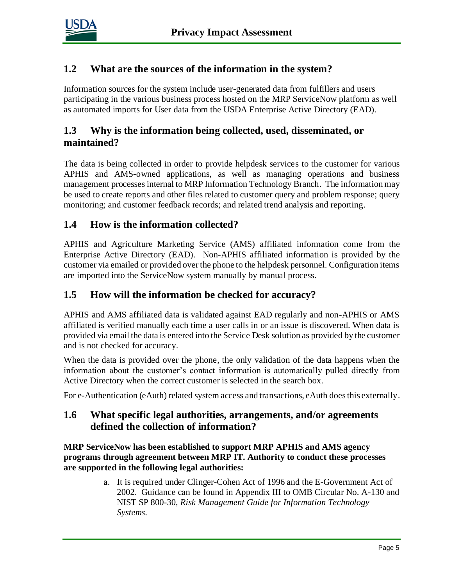

#### **1.2 What are the sources of the information in the system?**

Information sources for the system include user-generated data from fulfillers and users participating in the various business process hosted on the MRP ServiceNow platform as well as automated imports for User data from the USDA Enterprise Active Directory (EAD).

#### **1.3 Why is the information being collected, used, disseminated, or maintained?**

The data is being collected in order to provide helpdesk services to the customer for various APHIS and AMS-owned applications, as well as managing operations and business management processes internal to MRP Information Technology Branch. The information may be used to create reports and other files related to customer query and problem response; query monitoring; and customer feedback records; and related trend analysis and reporting.

#### **1.4 How is the information collected?**

APHIS and Agriculture Marketing Service (AMS) affiliated information come from the Enterprise Active Directory (EAD). Non-APHIS affiliated information is provided by the customer via emailed or provided over the phone to the helpdesk personnel. Configuration items are imported into the ServiceNow system manually by manual process.

#### **1.5 How will the information be checked for accuracy?**

APHIS and AMS affiliated data is validated against EAD regularly and non-APHIS or AMS affiliated is verified manually each time a user calls in or an issue is discovered. When data is provided via email the data is entered into the Service Desk solution as provided by the customer and is not checked for accuracy.

When the data is provided over the phone, the only validation of the data happens when the information about the customer's contact information is automatically pulled directly from Active Directory when the correct customer is selected in the search box.

For e-Authentication (eAuth) related system access and transactions, eAuth does this externally.

#### **1.6 What specific legal authorities, arrangements, and/or agreements defined the collection of information?**

**MRP ServiceNow has been established to support MRP APHIS and AMS agency programs through agreement between MRP IT. Authority to conduct these processes are supported in the following legal authorities:**

> a. It is required under Clinger-Cohen Act of 1996 and the E-Government Act of 2002. Guidance can be found in Appendix III to OMB Circular No. A-130 and NIST SP 800-30, *Risk Management Guide for Information Technology Systems*.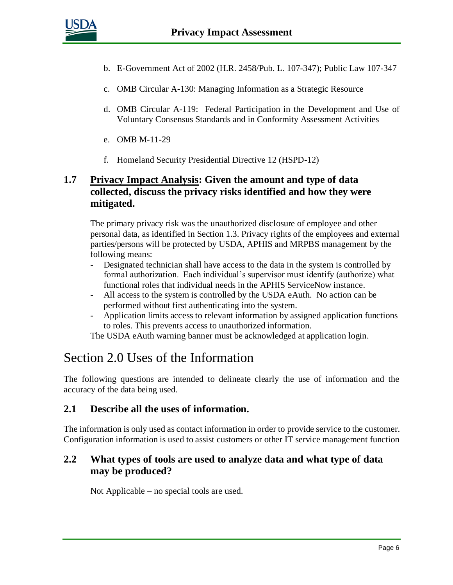

- b. E-Government Act of 2002 (H.R. 2458/Pub. L. 107-347); Public Law 107-347
- c. OMB Circular A-130: Managing Information as a Strategic Resource
- d. OMB Circular A-119: Federal Participation in the Development and Use of Voluntary Consensus Standards and in Conformity Assessment Activities
- e. OMB M-11-29
- f. Homeland Security Presidential Directive 12 (HSPD-12)

#### **1.7 Privacy Impact Analysis: Given the amount and type of data collected, discuss the privacy risks identified and how they were mitigated.**

The primary privacy risk was the unauthorized disclosure of employee and other personal data, as identified in Section 1.3. Privacy rights of the employees and external parties/persons will be protected by USDA, APHIS and MRPBS management by the following means:

- Designated technician shall have access to the data in the system is controlled by formal authorization. Each individual's supervisor must identify (authorize) what functional roles that individual needs in the APHIS ServiceNow instance.
- All access to the system is controlled by the USDA eAuth. No action can be performed without first authenticating into the system.
- Application limits access to relevant information by assigned application functions to roles. This prevents access to unauthorized information.

The USDA eAuth warning banner must be acknowledged at application login.

## Section 2.0 Uses of the Information

The following questions are intended to delineate clearly the use of information and the accuracy of the data being used.

#### **2.1 Describe all the uses of information.**

The information is only used as contact information in order to provide service to the customer. Configuration information is used to assist customers or other IT service management function

#### **2.2 What types of tools are used to analyze data and what type of data may be produced?**

Not Applicable – no special tools are used.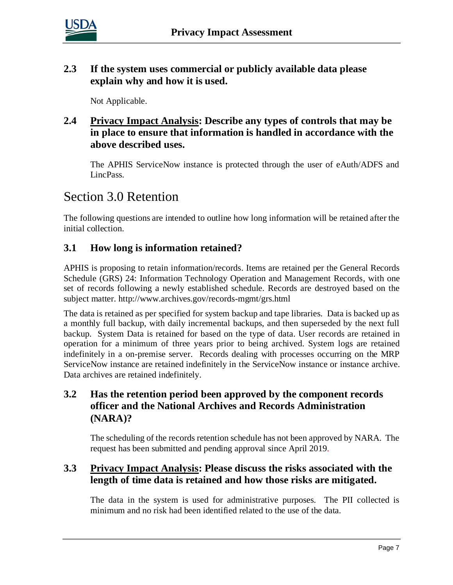

#### **2.3 If the system uses commercial or publicly available data please explain why and how it is used.**

Not Applicable.

#### **2.4 Privacy Impact Analysis: Describe any types of controls that may be in place to ensure that information is handled in accordance with the above described uses.**

The APHIS ServiceNow instance is protected through the user of eAuth/ADFS and LincPass.

### Section 3.0 Retention

The following questions are intended to outline how long information will be retained after the initial collection.

#### **3.1 How long is information retained?**

APHIS is proposing to retain information/records. Items are retained per the General Records Schedule (GRS) 24: Information Technology Operation and Management Records, with one set of records following a newly established schedule. Records are destroyed based on the subject matter. http://www.archives.gov/records-mgmt/grs.html

The data is retained as per specified for system backup and tape libraries. Data is backed up as a monthly full backup, with daily incremental backups, and then superseded by the next full backup. System Data is retained for based on the type of data. User records are retained in operation for a minimum of three years prior to being archived. System logs are retained indefinitely in a on-premise server. Records dealing with processes occurring on the MRP ServiceNow instance are retained indefinitely in the ServiceNow instance or instance archive. Data archives are retained indefinitely.

#### **3.2 Has the retention period been approved by the component records officer and the National Archives and Records Administration (NARA)?**

The scheduling of the records retention schedule has not been approved by NARA. The request has been submitted and pending approval since April 2019*.*

#### **3.3 Privacy Impact Analysis: Please discuss the risks associated with the length of time data is retained and how those risks are mitigated.**

The data in the system is used for administrative purposes. The PII collected is minimum and no risk had been identified related to the use of the data.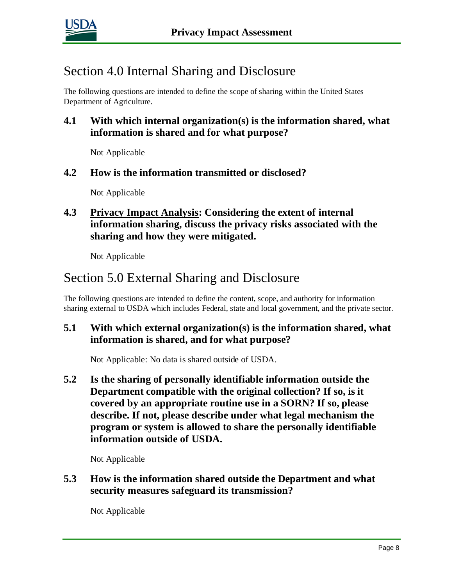

## Section 4.0 Internal Sharing and Disclosure

The following questions are intended to define the scope of sharing within the United States Department of Agriculture.

**4.1 With which internal organization(s) is the information shared, what information is shared and for what purpose?** 

Not Applicable

#### **4.2 How is the information transmitted or disclosed?**

Not Applicable

#### **4.3 Privacy Impact Analysis: Considering the extent of internal information sharing, discuss the privacy risks associated with the sharing and how they were mitigated.**

Not Applicable

## Section 5.0 External Sharing and Disclosure

The following questions are intended to define the content, scope, and authority for information sharing external to USDA which includes Federal, state and local government, and the private sector.

#### **5.1 With which external organization(s) is the information shared, what information is shared, and for what purpose?**

Not Applicable: No data is shared outside of USDA.

**5.2 Is the sharing of personally identifiable information outside the Department compatible with the original collection? If so, is it covered by an appropriate routine use in a SORN? If so, please describe. If not, please describe under what legal mechanism the program or system is allowed to share the personally identifiable information outside of USDA.** 

Not Applicable

**5.3 How is the information shared outside the Department and what security measures safeguard its transmission?** 

Not Applicable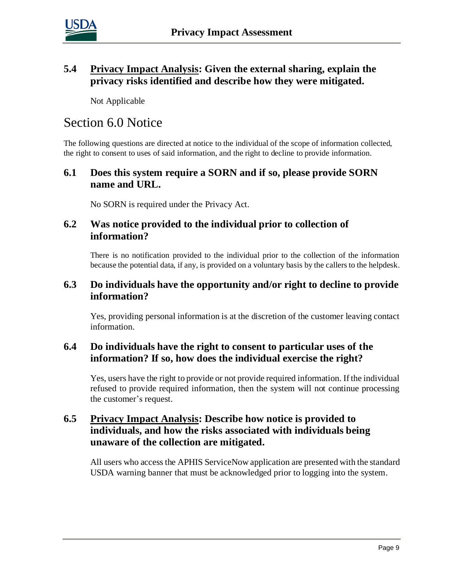

#### **5.4 Privacy Impact Analysis: Given the external sharing, explain the privacy risks identified and describe how they were mitigated.**

Not Applicable

## Section 6.0 Notice

The following questions are directed at notice to the individual of the scope of information collected, the right to consent to uses of said information, and the right to decline to provide information.

#### **6.1 Does this system require a SORN and if so, please provide SORN name and URL.**

No SORN is required under the Privacy Act.

#### **6.2 Was notice provided to the individual prior to collection of information?**

There is no notification provided to the individual prior to the collection of the information because the potential data, if any, is provided on a voluntary basis by the callers to the helpdesk.

#### **6.3 Do individuals have the opportunity and/or right to decline to provide information?**

Yes, providing personal information is at the discretion of the customer leaving contact information.

#### **6.4 Do individuals have the right to consent to particular uses of the information? If so, how does the individual exercise the right?**

Yes, users have the right to provide or not provide required information. If the individual refused to provide required information, then the system will not continue processing the customer's request.

#### **6.5 Privacy Impact Analysis: Describe how notice is provided to individuals, and how the risks associated with individuals being unaware of the collection are mitigated.**

All users who access the APHIS ServiceNow application are presented with the standard USDA warning banner that must be acknowledged prior to logging into the system.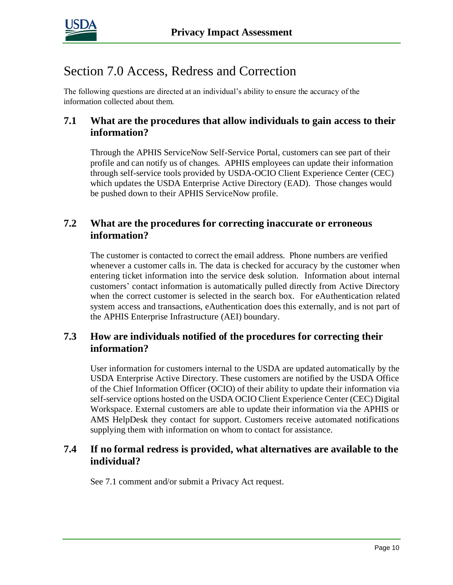

## Section 7.0 Access, Redress and Correction

The following questions are directed at an individual's ability to ensure the accuracy of the information collected about them.

#### **7.1 What are the procedures that allow individuals to gain access to their information?**

Through the APHIS ServiceNow Self-Service Portal, customers can see part of their profile and can notify us of changes. APHIS employees can update their information through self-service tools provided by USDA-OCIO Client Experience Center (CEC) which updates the USDA Enterprise Active Directory (EAD). Those changes would be pushed down to their APHIS ServiceNow profile.

#### **7.2 What are the procedures for correcting inaccurate or erroneous information?**

The customer is contacted to correct the email address. Phone numbers are verified whenever a customer calls in. The data is checked for accuracy by the customer when entering ticket information into the service desk solution. Information about internal customers' contact information is automatically pulled directly from Active Directory when the correct customer is selected in the search box. For eAuthentication related system access and transactions, eAuthentication does this externally, and is not part of the APHIS Enterprise Infrastructure (AEI) boundary.

#### **7.3 How are individuals notified of the procedures for correcting their information?**

User information for customers internal to the USDA are updated automatically by the USDA Enterprise Active Directory. These customers are notified by the USDA Office of the Chief Information Officer (OCIO) of their ability to update their information via self-service options hosted on the USDA OCIO Client Experience Center (CEC) Digital Workspace. External customers are able to update their information via the APHIS or AMS HelpDesk they contact for support. Customers receive automated notifications supplying them with information on whom to contact for assistance.

#### **7.4 If no formal redress is provided, what alternatives are available to the individual?**

See 7.1 comment and/or submit a Privacy Act request.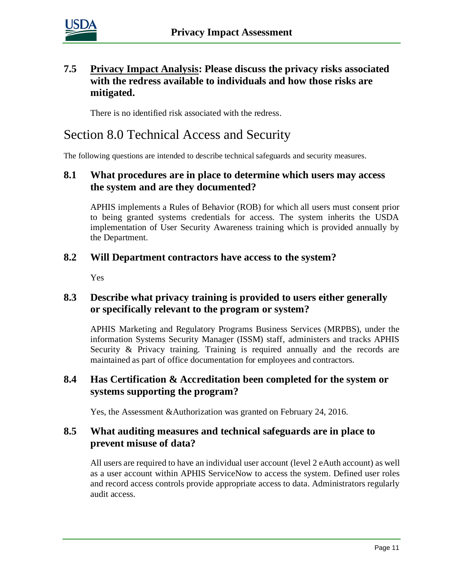

#### **7.5 Privacy Impact Analysis: Please discuss the privacy risks associated with the redress available to individuals and how those risks are mitigated.**

There is no identified risk associated with the redress.

## Section 8.0 Technical Access and Security

The following questions are intended to describe technical safeguards and security measures.

#### **8.1 What procedures are in place to determine which users may access the system and are they documented?**

APHIS implements a Rules of Behavior (ROB) for which all users must consent prior to being granted systems credentials for access. The system inherits the USDA implementation of User Security Awareness training which is provided annually by the Department.

#### **8.2 Will Department contractors have access to the system?**

Yes

#### **8.3 Describe what privacy training is provided to users either generally or specifically relevant to the program or system?**

APHIS Marketing and Regulatory Programs Business Services (MRPBS), under the information Systems Security Manager (ISSM) staff, administers and tracks APHIS Security & Privacy training. Training is required annually and the records are maintained as part of office documentation for employees and contractors.

#### **8.4 Has Certification & Accreditation been completed for the system or systems supporting the program?**

Yes, the Assessment &Authorization was granted on February 24, 2016.

#### **8.5 What auditing measures and technical safeguards are in place to prevent misuse of data?**

All users are required to have an individual user account (level 2 eAuth account) as well as a user account within APHIS ServiceNow to access the system. Defined user roles and record access controls provide appropriate access to data. Administrators regularly audit access.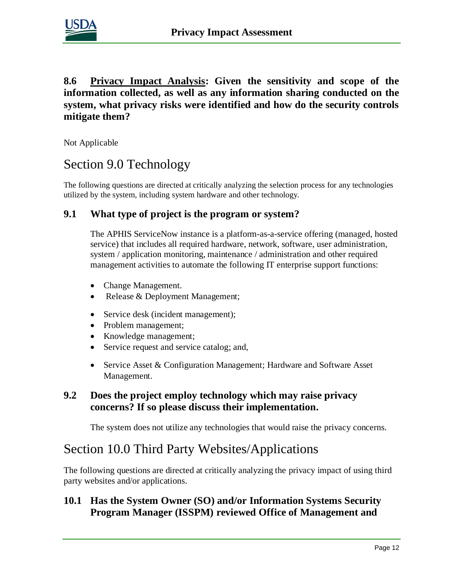

**8.6 Privacy Impact Analysis: Given the sensitivity and scope of the information collected, as well as any information sharing conducted on the system, what privacy risks were identified and how do the security controls mitigate them?** 

Not Applicable

## Section 9.0 Technology

The following questions are directed at critically analyzing the selection process for any technologies utilized by the system, including system hardware and other technology.

#### **9.1 What type of project is the program or system?**

The APHIS ServiceNow instance is a platform-as-a-service offering (managed, hosted service) that includes all required hardware, network, software, user administration, system / application monitoring, maintenance / administration and other required management activities to automate the following IT enterprise support functions:

- Change Management.
- Release & Deployment Management;
- Service desk (incident management);
- Problem management;
- Knowledge management;
- Service request and service catalog; and,
- Service Asset & Configuration Management; Hardware and Software Asset Management.

#### **9.2 Does the project employ technology which may raise privacy concerns? If so please discuss their implementation.**

The system does not utilize any technologies that would raise the privacy concerns.

## Section 10.0 Third Party Websites/Applications

The following questions are directed at critically analyzing the privacy impact of using third party websites and/or applications.

#### **10.1 Has the System Owner (SO) and/or Information Systems Security Program Manager (ISSPM) reviewed Office of Management and**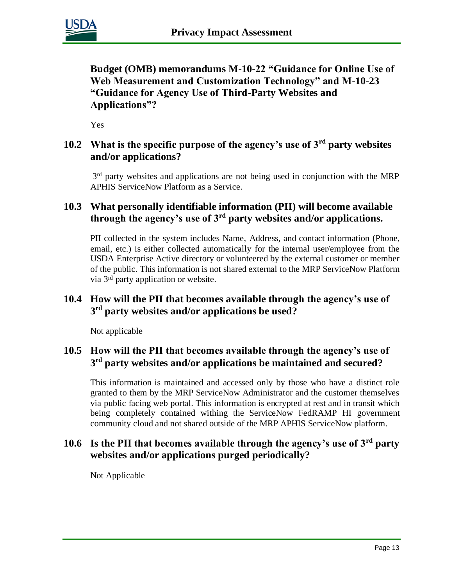

**Budget (OMB) memorandums M-10-22 "Guidance for Online Use of Web Measurement and Customization Technology" and M-10-23 "Guidance for Agency Use of Third-Party Websites and Applications"?**

Yes

#### **10.2 What is the specific purpose of the agency's use of 3rd party websites and/or applications?**

3<sup>rd</sup> party websites and applications are not being used in conjunction with the MRP APHIS ServiceNow Platform as a Service.

#### **10.3 What personally identifiable information (PII) will become available through the agency's use of 3rd party websites and/or applications.**

PII collected in the system includes Name, Address, and contact information (Phone, email, etc.) is either collected automatically for the internal user/employee from the USDA Enterprise Active directory or volunteered by the external customer or member of the public. This information is not shared external to the MRP ServiceNow Platform via 3rd party application or website.

#### **10.4 How will the PII that becomes available through the agency's use of 3 rd party websites and/or applications be used?**

Not applicable

#### **10.5 How will the PII that becomes available through the agency's use of 3 rd party websites and/or applications be maintained and secured?**

This information is maintained and accessed only by those who have a distinct role granted to them by the MRP ServiceNow Administrator and the customer themselves via public facing web portal. This information is encrypted at rest and in transit which being completely contained withing the ServiceNow FedRAMP HI government community cloud and not shared outside of the MRP APHIS ServiceNow platform.

#### **10.6 Is the PII that becomes available through the agency's use of 3rd party websites and/or applications purged periodically?**

Not Applicable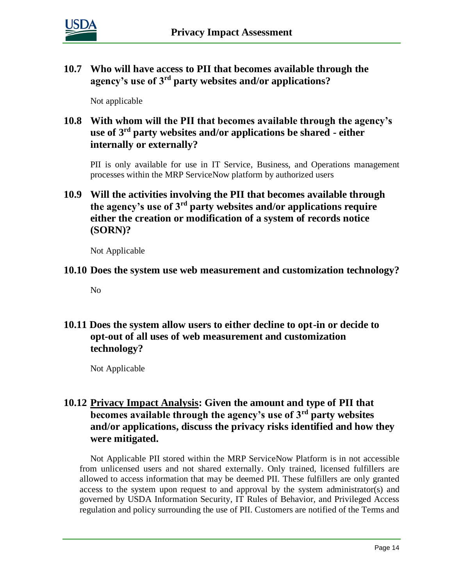

**10.7 Who will have access to PII that becomes available through the agency's use of 3rd party websites and/or applications?**

Not applicable

#### **10.8 With whom will the PII that becomes available through the agency's use of 3rd party websites and/or applications be shared - either internally or externally?**

PII is only available for use in IT Service, Business, and Operations management processes within the MRP ServiceNow platform by authorized users

**10.9 Will the activities involving the PII that becomes available through the agency's use of 3rd party websites and/or applications require either the creation or modification of a system of records notice (SORN)?**

Not Applicable

**10.10 Does the system use web measurement and customization technology?**

No

**10.11 Does the system allow users to either decline to opt-in or decide to opt-out of all uses of web measurement and customization technology?**

Not Applicable

#### **10.12 Privacy Impact Analysis: Given the amount and type of PII that becomes available through the agency's use of 3rd party websites and/or applications, discuss the privacy risks identified and how they were mitigated.**

Not Applicable PII stored within the MRP ServiceNow Platform is in not accessible from unlicensed users and not shared externally. Only trained, licensed fulfillers are allowed to access information that may be deemed PII. These fulfillers are only granted access to the system upon request to and approval by the system administrator(s) and governed by USDA Information Security, IT Rules of Behavior, and Privileged Access regulation and policy surrounding the use of PII. Customers are notified of the Terms and